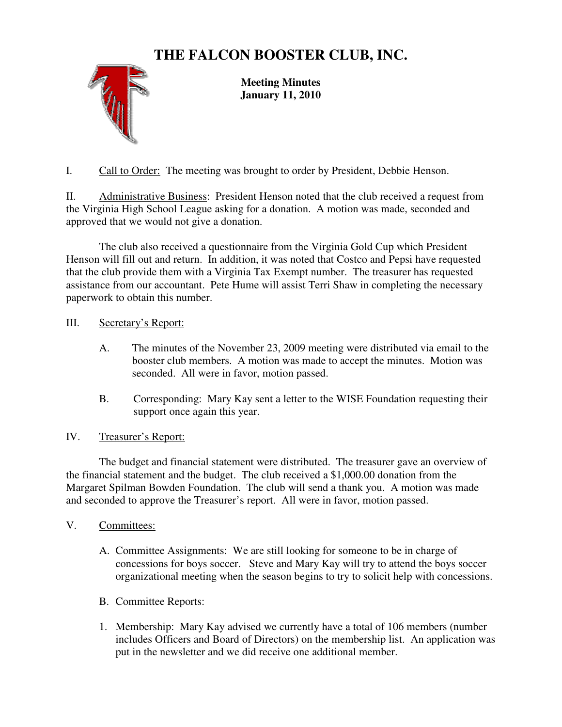## **THE FALCON BOOSTER CLUB, INC.**



**Meeting Minutes January 11, 2010** 

I. Call to Order: The meeting was brought to order by President, Debbie Henson.

II. Administrative Business: President Henson noted that the club received a request from the Virginia High School League asking for a donation. A motion was made, seconded and approved that we would not give a donation.

The club also received a questionnaire from the Virginia Gold Cup which President Henson will fill out and return. In addition, it was noted that Costco and Pepsi have requested that the club provide them with a Virginia Tax Exempt number. The treasurer has requested assistance from our accountant. Pete Hume will assist Terri Shaw in completing the necessary paperwork to obtain this number.

III. Secretary's Report:

- A. The minutes of the November 23, 2009 meeting were distributed via email to the booster club members. A motion was made to accept the minutes. Motion was seconded. All were in favor, motion passed.
- B. Corresponding: Mary Kay sent a letter to the WISE Foundation requesting their support once again this year.

## IV. Treasurer's Report:

 The budget and financial statement were distributed. The treasurer gave an overview of the financial statement and the budget. The club received a \$1,000.00 donation from the Margaret Spilman Bowden Foundation. The club will send a thank you. A motion was made and seconded to approve the Treasurer's report. All were in favor, motion passed.

## V. Committees:

- A. Committee Assignments: We are still looking for someone to be in charge of concessions for boys soccer. Steve and Mary Kay will try to attend the boys soccer organizational meeting when the season begins to try to solicit help with concessions.
- B. Committee Reports:
- 1. Membership: Mary Kay advised we currently have a total of 106 members (number includes Officers and Board of Directors) on the membership list. An application was put in the newsletter and we did receive one additional member.